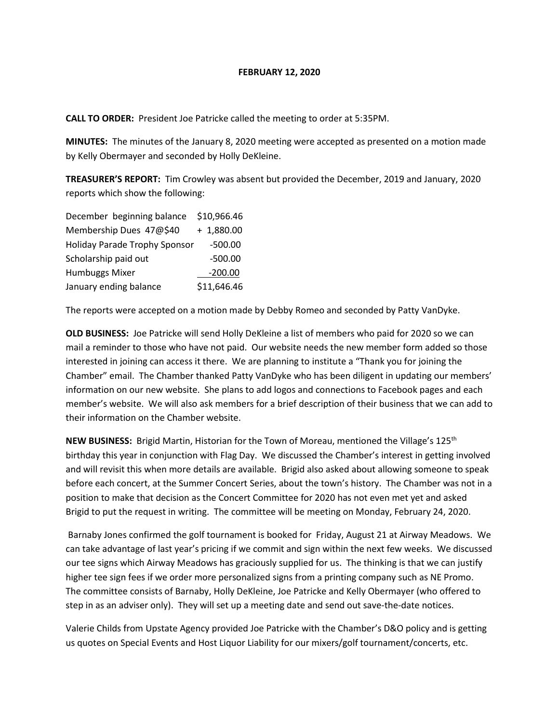## **FEBRUARY 12, 2020**

**CALL TO ORDER:** President Joe Patricke called the meeting to order at 5:35PM.

**MINUTES:** The minutes of the January 8, 2020 meeting were accepted as presented on a motion made by Kelly Obermayer and seconded by Holly DeKleine.

**TREASURER'S REPORT:** Tim Crowley was absent but provided the December, 2019 and January, 2020 reports which show the following:

| December beginning balance           | \$10,966.46  |
|--------------------------------------|--------------|
| Membership Dues 47@\$40              | $+ 1,880.00$ |
| <b>Holiday Parade Trophy Sponsor</b> | $-500.00$    |
| Scholarship paid out                 | $-500.00$    |
| Humbuggs Mixer                       | $-200.00$    |
| January ending balance               | \$11,646.46  |

The reports were accepted on a motion made by Debby Romeo and seconded by Patty VanDyke.

**OLD BUSINESS:** Joe Patricke will send Holly DeKleine a list of members who paid for 2020 so we can mail a reminder to those who have not paid. Our website needs the new member form added so those interested in joining can access it there. We are planning to institute a "Thank you for joining the Chamber" email. The Chamber thanked Patty VanDyke who has been diligent in updating our members' information on our new website. She plans to add logos and connections to Facebook pages and each member's website. We will also ask members for a brief description of their business that we can add to their information on the Chamber website.

**NEW BUSINESS:** Brigid Martin, Historian for the Town of Moreau, mentioned the Village's 125th birthday this year in conjunction with Flag Day. We discussed the Chamber's interest in getting involved and will revisit this when more details are available. Brigid also asked about allowing someone to speak before each concert, at the Summer Concert Series, about the town's history. The Chamber was not in a position to make that decision as the Concert Committee for 2020 has not even met yet and asked Brigid to put the request in writing. The committee will be meeting on Monday, February 24, 2020.

Barnaby Jones confirmed the golf tournament is booked for Friday, August 21 at Airway Meadows. We can take advantage of last year's pricing if we commit and sign within the next few weeks. We discussed our tee signs which Airway Meadows has graciously supplied for us. The thinking is that we can justify higher tee sign fees if we order more personalized signs from a printing company such as NE Promo. The committee consists of Barnaby, Holly DeKleine, Joe Patricke and Kelly Obermayer (who offered to step in as an adviser only). They will set up a meeting date and send out save-the-date notices.

Valerie Childs from Upstate Agency provided Joe Patricke with the Chamber's D&O policy and is getting us quotes on Special Events and Host Liquor Liability for our mixers/golf tournament/concerts, etc.